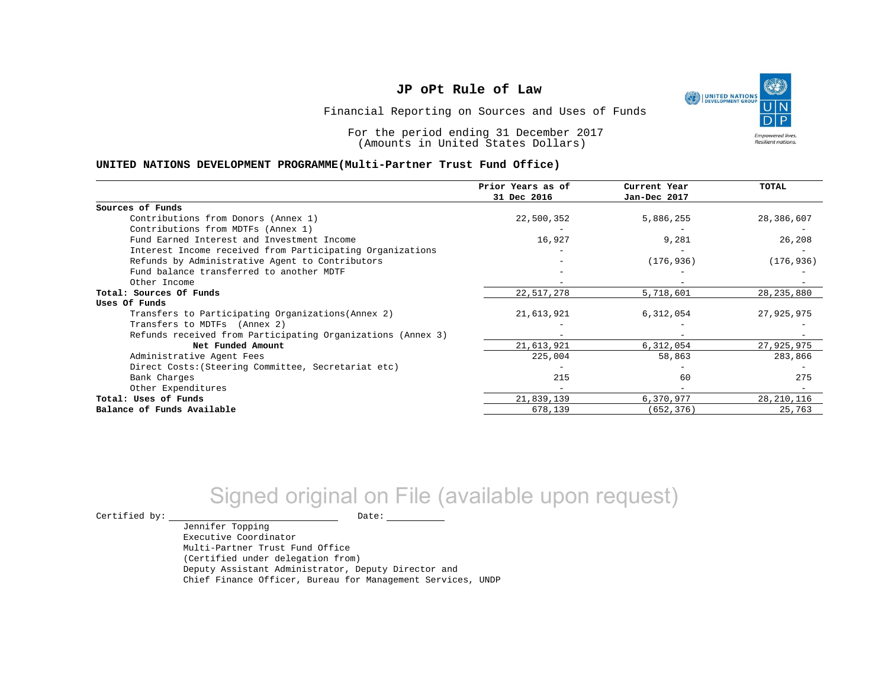

Financial Reporting on Sources and Uses of Funds

For the period ending 31 December 2017 (Amounts in United States Dollars)

#### **UNITED NATIONS DEVELOPMENT PROGRAMME(Multi-Partner Trust Fund Office)**

|                                                             | Prior Years as of<br>31 Dec 2016 | Current Year<br>Jan-Dec 2017 | TOTAL        |
|-------------------------------------------------------------|----------------------------------|------------------------------|--------------|
| Sources of Funds                                            |                                  |                              |              |
| Contributions from Donors (Annex 1)                         | 22,500,352                       | 5,886,255                    | 28,386,607   |
| Contributions from MDTFs (Annex 1)                          |                                  |                              |              |
| Fund Earned Interest and Investment Income                  | 16,927                           | 9,281                        | 26,208       |
| Interest Income received from Participating Organizations   |                                  |                              |              |
| Refunds by Administrative Agent to Contributors             |                                  | (176, 936)                   | (176, 936)   |
| Fund balance transferred to another MDTF                    |                                  |                              |              |
| Other Income                                                |                                  |                              |              |
| Total: Sources Of Funds                                     | 22,517,278                       | 5,718,601                    | 28, 235, 880 |
| Uses Of Funds                                               |                                  |                              |              |
| Transfers to Participating Organizations (Annex 2)          | 21,613,921                       | 6,312,054                    | 27,925,975   |
| Transfers to MDTFs (Annex 2)                                |                                  |                              |              |
| Refunds received from Participating Organizations (Annex 3) | $-$                              |                              |              |
| Net Funded Amount                                           | 21,613,921                       | 6,312,054                    | 27,925,975   |
| Administrative Agent Fees                                   | 225,004                          | 58,863                       | 283,866      |
| Direct Costs: (Steering Committee, Secretariat etc)         |                                  |                              |              |
| Bank Charges                                                | 215                              | 60                           | 275          |
| Other Expenditures                                          |                                  |                              |              |
| Total: Uses of Funds                                        | 21,839,139                       | 6,370,977                    | 28, 210, 116 |
| Balance of Funds Available                                  | 678,139                          | (652, 376)                   | 25,763       |

# Signed original on File (available upon request)

Jennifer Topping

 $\begin{picture}(180,180)(0,0) \put(0,0){\vector(1,0){180}} \put(15,0){\vector(1,0){180}} \put(15,0){\vector(1,0){180}} \put(15,0){\vector(1,0){180}} \put(15,0){\vector(1,0){180}} \put(15,0){\vector(1,0){180}} \put(15,0){\vector(1,0){180}} \put(15,0){\vector(1,0){180}} \put(15,0){\vector(1,0){180}} \put(15,0){\vector(1,0){180}} \put(15,0){\vector(1,0$ 

Executive Coordinator Multi-Partner Trust Fund Office (Certified under delegation from) Deputy Assistant Administrator, Deputy Director and Chief Finance Officer, Bureau for Management Services, UNDP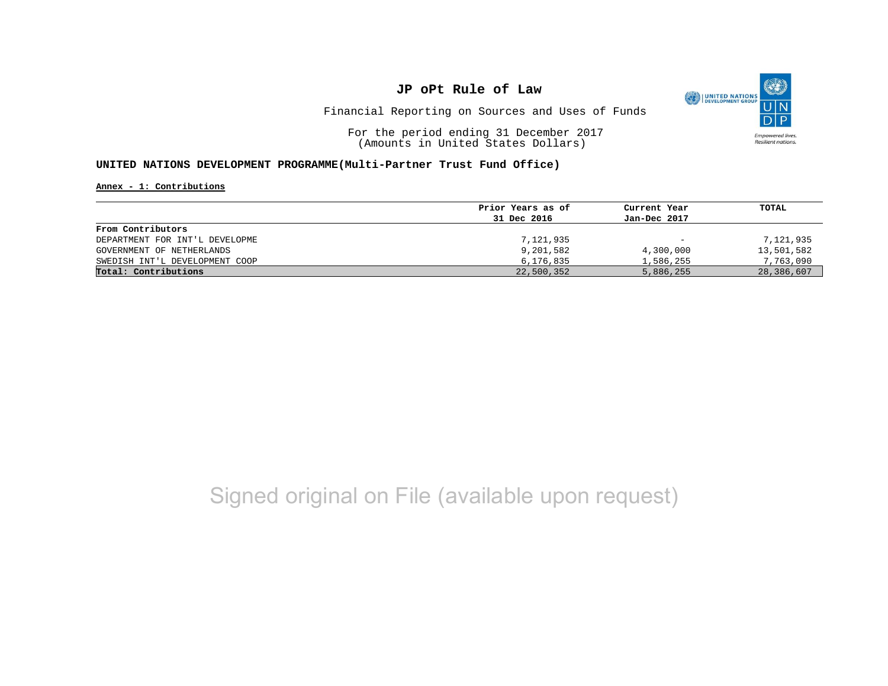

Financial Reporting on Sources and Uses of Funds

For the period ending 31 December 2017 (Amounts in United States Dollars)

#### **UNITED NATIONS DEVELOPMENT PROGRAMME(Multi-Partner Trust Fund Office)**

**Annex - 1: Contributions**

|                                | Prior Years as of | Current Year             | TOTAL      |
|--------------------------------|-------------------|--------------------------|------------|
|                                | 31 Dec 2016       | Jan-Dec 2017             |            |
| From Contributors              |                   |                          |            |
| DEPARTMENT FOR INT'L DEVELOPME | 7,121,935         | $\overline{\phantom{m}}$ | 7,121,935  |
| GOVERNMENT OF NETHERLANDS      | 9,201,582         | 4,300,000                | 13,501,582 |
| SWEDISH INT'L DEVELOPMENT COOP | 6,176,835         | 1,586,255                | 7,763,090  |
| Total: Contributions           | 22,500,352        | 5,886,255                | 28,386,607 |

## Signed original on File (available upon request)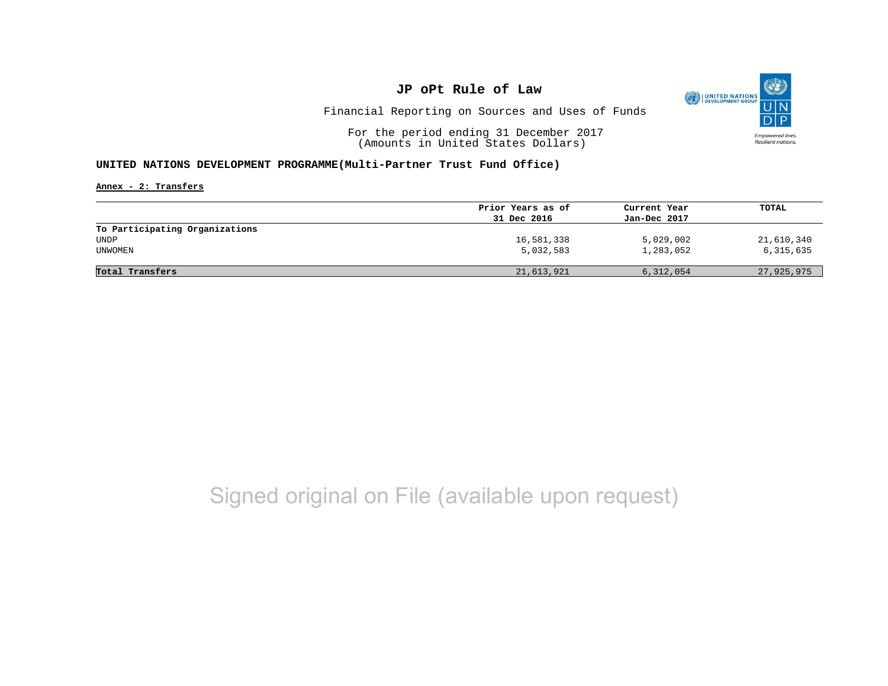

Financial Reporting on Sources and Uses of Funds

For the period ending 31 December 2017 (Amounts in United States Dollars)

#### **UNITED NATIONS DEVELOPMENT PROGRAMME(Multi-Partner Trust Fund Office)**

**Annex - 2: Transfers**

|                                | Prior Years as of | Current Year | TOTAL      |
|--------------------------------|-------------------|--------------|------------|
|                                | 31 Dec 2016       | Jan-Dec 2017 |            |
| To Participating Organizations |                   |              |            |
| UNDP                           | 16,581,338        | 5,029,002    | 21,610,340 |
| UNWOMEN                        | 5,032,583         | 1,283,052    | 6,315,635  |
|                                |                   |              |            |
| Total Transfers                | 21,613,921        | 6,312,054    | 27,925,975 |

## Signed original on File (available upon request)